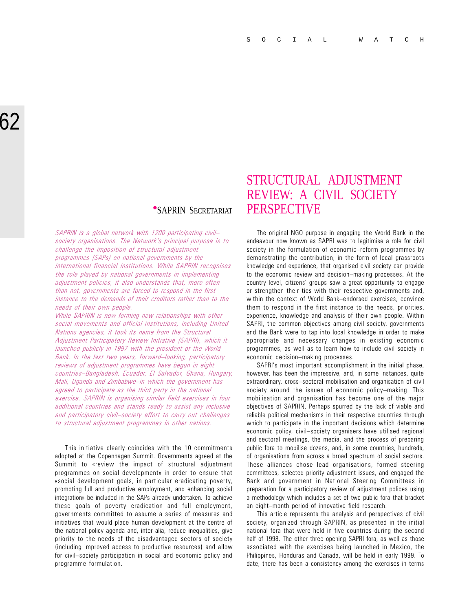SAPRIN is a global network with 1200 participating civil society organisations. The Network's principal purpose is to challenge the imposition of structural adjustment programmes (SAPs) on national governments by the international financial institutions. While SAPRIN recognises the role played by national governments in implementing adjustment policies, it also understands that, more often than not, governments are forced to respond in the first instance to the demands of their creditors rather than to the needs of their own people.

While SAPRIN is now forming new relationships with other social movements and official institutions, including United Nations agencies, it took its name from the Structural Adjustment Participatory Review Initiative (SAPRI), which it launched publicly in 1997 with the president of the World Bank. In the last two years, forward-looking, participatory reviews of adjustment programmes have begun in eight countries-Bangladesh, Ecuador, El Salvador, Ghana, Hungary, Mali, Uganda and Zimbabwe-in which the government has agreed to participate as the third party in the national exercise. SAPRIN is organising similar field exercises in four additional countries and stands ready to assist any inclusive and participatory civil-society effort to carry out challenges to structural adjustment programmes in other nations.

This initiative clearly coincides with the 10 commitments adopted at the Copenhagen Summit. Governments agreed at the Summit to «review the impact of structural adjustment programmes on social development» in order to ensure that «social development goals, in particular eradicating poverty, promoting full and productive employment, and enhancing social integration» be included in the SAPs already undertaken. To achieve these goals of poverty eradication and full employment, governments committed to assume a series of measures and initiatives that would place human development at the centre of the national policy agenda and, inter alia, reduce inequalities, give priority to the needs of the disadvantaged sectors of society (including improved access to productive resources) and allow for civil-society participation in social and economic policy and programme formulation.

# STRUCTURAL ADJUSTMENT REVIEW: A CIVIL SOCIETY **SAPRIN SECRETARIAT PERSPECTIVE**

The original NGO purpose in engaging the World Bank in the endeavour now known as SAPRI was to legitimise a role for civil society in the formulation of economic-reform programmes by demonstrating the contribution, in the form of local grassroots knowledge and experience, that organised civil society can provide to the economic review and decision-making processes. At the country level, citizens' groups saw a great opportunity to engage or strengthen their ties with their respective governments and, within the context of World Bank-endorsed exercises, convince them to respond in the first instance to the needs, priorities, experience, knowledge and analysis of their own people. Within SAPRI, the common objectives among civil society, governments and the Bank were to tap into local knowledge in order to make appropriate and necessary changes in existing economic programmes, as well as to learn how to include civil society in economic decision-making processes.

SAPRI's most important accomplishment in the initial phase, however, has been the impressive, and, in some instances, quite extraordinary, cross-sectoral mobilisation and organisation of civil society around the issues of economic policy-making. This mobilisation and organisation has become one of the major objectives of SAPRIN. Perhaps spurred by the lack of viable and reliable political mechanisms in their respective countries through which to participate in the important decisions which determine economic policy, civil-society organisers have utilised regional and sectoral meetings, the media, and the process of preparing public fora to mobilise dozens, and, in some countries, hundreds, of organisations from across a broad spectrum of social sectors. These alliances chose lead organisations, formed steering committees, selected priority adjustment issues, and engaged the Bank and government in National Steering Committees in preparation for a participatory review of adjustment polices using a methodology which includes a set of two public fora that bracket an eight-month period of innovative field research.

This article represents the analysis and perspectives of civil society, organized through SAPRIN, as presented in the initial national fora that were held in five countries during the second half of 1998. The other three opening SAPRI fora, as well as those associated with the exercises being launched in Mexico, the Philippines, Honduras and Canada, will be held in early 1999. To date, there has been a consistency among the exercises in terms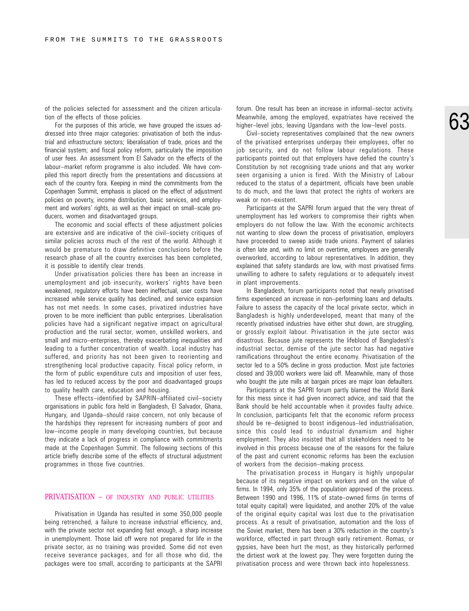of the policies selected for assessment and the citizen articulation of the effects of those policies.

For the purposes of this article, we have grouped the issues addressed into three major categories: privatisation of both the industrial and infrastructure sectors; liberalisation of trade, prices and the financial system; and fiscal policy reform, particularly the imposition of user fees. An assessment from El Salvador on the effects of the labour-market reform programme is also included. We have compiled this report directly from the presentations and discussions at each of the country fora. Keeping in mind the commitments from the Copenhagen Summit, emphasis is placed on the effect of adjustment policies on poverty, income distribution, basic services, and employment and workers' rights, as well as their impact on small-scale producers, women and disadvantaged groups.

The economic and social effects of these adjustment policies are extensive and are indicative of the civil-society critiques of similar policies across much of the rest of the world. Although it would be premature to draw definitive conclusions before the research phase of all the country exercises has been completed, it is possible to identify clear trends.

Under privatisation policies there has been an increase in unemployment and job insecurity, workers' rights have been weakened, regulatory efforts have been ineffectual, user costs have increased while service quality has declined, and service expansion has not met needs. In some cases, privatized industries have proven to be more inefficient than public enterprises. Liberalisation policies have had a significant negative impact on agricultural production and the rural sector, women, unskilled workers, and small and micro-enterprises, thereby exacerbating inequalities and leading to a further concentration of wealth. Local industry has suffered, and priority has not been given to reorienting and strengthening local productive capacity. Fiscal policy reform, in the form of public expenditure cuts and imposition of user fees, has led to reduced access by the poor and disadvantaged groups to quality health care, education and housing.

These effects-identified by SAPRIN-affiliated civil-society organisations in public fora held in Bangladesh, El Salvador, Ghana, Hungary, and Uganda-should raise concern, not only because of the hardships they represent for increasing numbers of poor and low-income people in many developing countries, but because they indicate a lack of progress in compliance with commitments made at the Copenhagen Summit. The following sections of this article briefly describe some of the effects of structural adjustment programmes in those five countries.

#### PRIVATISATION – OF INDUSTRY AND PUBLIC UTILITIES

Privatisation in Uganda has resulted in some 350,000 people being retrenched, a failure to increase industrial efficiency, and, with the private sector not expanding fast enough, a sharp increase in unemployment. Those laid off were not prepared for life in the private sector, as no training was provided. Some did not even receive severance packages, and for all those who did, the packages were too small, according to participants at the SAPRI

forum. One result has been an increase in informal–sector activity. Meanwhile, among the employed, expatriates have received the higher-level jobs, leaving Ugandans with the low-level posts.

Civil-society representatives complained that the new owners of the privatised enterprises underpay their employees, offer no job security, and do not follow labour regulations. These participants pointed out that employers have defied the country's Constitution by not recognising trade unions and that any worker seen organising a union is fired. With the Ministry of Labour reduced to the status of a department, officials have been unable to do much, and the laws that protect the rights of workers are weak or non-existent.

Participants at the SAPRI forum argued that the very threat of unemployment has led workers to compromise their rights when employers do not follow the law. With the economic architects not wanting to slow down the process of privatisation, employers have proceeded to sweep aside trade unions. Payment of salaries is often late and, with no limit on overtime, employees are generally overworked, according to labour representatives. In addition, they explained that safety standards are low, with most privatised firms unwilling to adhere to safety regulations or to adequately invest in plant improvements.

In Bangladesh, forum participants noted that newly privatised firms experienced an increase in non-performing loans and defaults. Failure to assess the capacity of the local private sector, which in Bangladesh is highly underdeveloped, meant that many of the recently privatised industries have either shut down, are struggling, or grossly exploit labour. Privatisation in the jute sector was disastrous. Because jute represents the lifeblood of Bangladesh's industrial sector, demise of the jute sector has had negative ramifications throughout the entire economy. Privatisation of the sector led to a 50% decline in gross production. Most jute factories closed and 39,000 workers were laid off. Meanwhile, many of those who bought the jute mills at bargain prices are major loan defaulters.

Participants at the SAPRI forum partly blamed the World Bank for this mess since it had given incorrect advice, and said that the Bank should be held accountable when it provides faulty advice. In conclusion, participants felt that the economic reform process should be re-designed to boost indigenous-led industrialisation, since this could lead to industrial dynamism and higher employment. They also insisted that all stakeholders need to be involved in this process because one of the reasons for the failure of the past and current economic reforms has been the exclusion of workers from the decision–making process.

The privatisation process in Hungary is highly unpopular because of its negative impact on workers and on the value of firms. In 1994, only 35% of the population approved of the process. Between 1990 and 1996, 11% of state-owned firms (in terms of total equity capital) were liquidated, and another 20% of the value of the original equity capital was lost due to the privatisation process. As a result of privatisation, automation and the loss of the Soviet market, there has been a 30% reduction in the country's workforce, effected in part through early retirement. Romas, or gypsies, have been hurt the most, as they historically performed the dirtiest work at the lowest pay. They were forgotten during the privatisation process and were thrown back into hopelessness.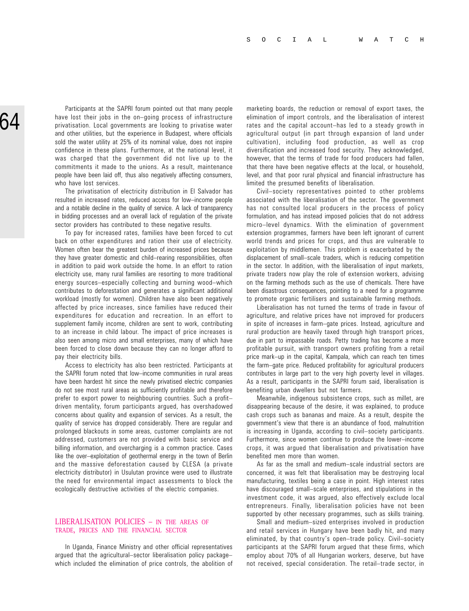Participants at the SAPRI forum pointed out that many people have lost their jobs in the on-going process of infrastructure privatisation. Local governments are looking to privatise water and other utilities, but the experience in Budapest, where officials sold the water utility at 25% of its nominal value, does not inspire confidence in these plans. Furthermore, at the national level, it was charged that the government did not live up to the commitments it made to the unions. As a result, maintenance people have been laid off, thus also negatively affecting consumers, who have lost services.

The privatisation of electricity distribution in El Salvador has resulted in increased rates, reduced access for low-income people and a notable decline in the quality of service. A lack of transparency in bidding processes and an overall lack of regulation of the private sector providers has contributed to these negative results.

To pay for increased rates, families have been forced to cut back on other expenditures and ration their use of electricity. Women often bear the greatest burden of increased prices because they have greater domestic and child-rearing responsibilities, often in addition to paid work outside the home. In an effort to ration electricity use, many rural families are resorting to more traditional energy sources-especially collecting and burning wood-which contributes to deforestation and generates a significant additional workload (mostly for women). Children have also been negatively affected by price increases, since families have reduced their expenditures for education and recreation. In an effort to supplement family income, children are sent to work, contributing to an increase in child labour. The impact of price increases is also seen among micro and small enterprises, many of which have been forced to close down because they can no longer afford to pay their electricity bills.

Access to electricity has also been restricted. Participants at the SAPRI forum noted that low-income communities in rural areas have been hardest hit since the newly privatised electric companies do not see most rural areas as sufficiently profitable and therefore prefer to export power to neighbouring countries. Such a profit driven mentality, forum participants argued, has overshadowed concerns about quality and expansion of services. As a result, the quality of service has dropped considerably. There are regular and prolonged blackouts in some areas, customer complaints are not addressed, customers are not provided with basic service and billing information, and overcharging is a common practice. Cases like the over-exploitation of geothermal energy in the town of Berlin and the massive deforestation caused by CLESA (a private electricity distributor) in Usulutan province were used to illustrate the need for environmental impact assessments to block the ecologically destructive activities of the electric companies.

#### LIBERALISATION POLICIES – IN THE AREAS OF TRADE, PRICES AND THE FINANCIAL SECTOR

In Uganda, Finance Ministry and other official representatives argued that the agricultural–sector liberalisation policy package– which included the elimination of price controls, the abolition of

marketing boards, the reduction or removal of export taxes, the elimination of import controls, and the liberalisation of interest rates and the capital account-has led to a steady growth in agricultural output (in part through expansion of land under cultivation), including food production, as well as crop diversification and increased food security. They acknowledged, however, that the terms of trade for food producers had fallen, that there have been negative effects at the local, or household, level, and that poor rural physical and financial infrastructure has limited the presumed benefits of liberalisation.

Civil-society representatives pointed to other problems associated with the liberalisation of the sector. The government has not consulted local producers in the process of policy formulation, and has instead imposed policies that do not address micro-level dynamics. With the elimination of government extension programmes, farmers have been left ignorant of current world trends and prices for crops, and thus are vulnerable to exploitation by middlemen. This problem is exacerbated by the displacement of small-scale traders, which is reducing competition in the sector. In addition, with the liberalisation of input markets, private traders now play the role of extension workers, advising on the farming methods such as the use of chemicals. There have been disastrous consequences, pointing to a need for a programme to promote organic fertilisers and sustainable farming methods.

Liberalisation has not turned the terms of trade in favour of agriculture, and relative prices have not improved for producers in spite of increases in farm-gate prices. Instead, agriculture and rural production are heavily taxed through high transport prices, due in part to impassable roads. Petty trading has become a more profitable pursuit, with transport owners profiting from a retail price mark-up in the capital, Kampala, which can reach ten times the farm-gate price. Reduced profitability for agricultural producers contributes in large part to the very high poverty level in villages. As a result, participants in the SAPRI forum said, liberalisation is benefiting urban dwellers but not farmers.

Meanwhile, indigenous subsistence crops, such as millet, are disappearing because of the desire, it was explained, to produce cash crops such as bananas and maize. As a result, despite the government's view that there is an abundance of food, malnutrition is increasing in Uganda, according to civil-society participants. Furthermore, since women continue to produce the lower-income crops, it was argued that liberalisation and privatisation have benefited men more than women.

As far as the small and medium-scale industrial sectors are concerned, it was felt that liberalisation may be destroying local manufacturing, textiles being a case in point. High interest rates have discouraged small–scale enterprises, and stipulations in the investment code, it was argued, also effectively exclude local entrepreneurs. Finally, liberalisation policies have not been supported by other necessary programmes, such as skills training.

Small and medium-sized enterprises involved in production and retail services in Hungary have been badly hit, and many eliminated, by that country's open-trade policy. Civil-society participants at the SAPRI forum argued that these firms, which employ about 70% of all Hungarian workers, deserve, but have not received, special consideration. The retail-trade sector, in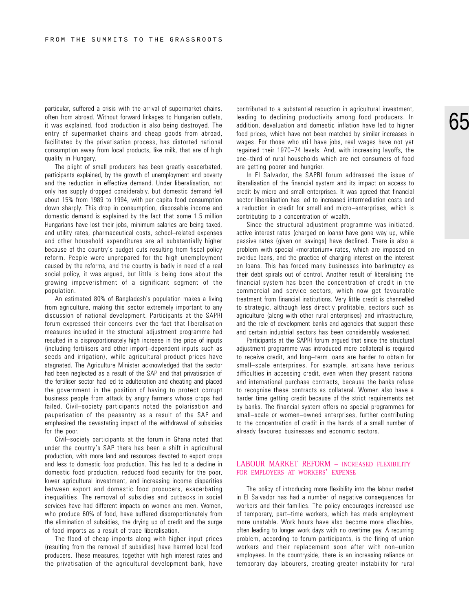particular, suffered a crisis with the arrival of supermarket chains, often from abroad. Without forward linkages to Hungarian outlets, it was explained, food production is also being destroyed. The entry of supermarket chains and cheap goods from abroad, facilitated by the privatisation process, has distorted national consumption away from local products, like milk, that are of high quality in Hungary.

The plight of small producers has been greatly exacerbated, participants explained, by the growth of unemployment and poverty and the reduction in effective demand. Under liberalisation, not only has supply dropped considerably, but domestic demand fell about 15% from 1989 to 1994, with per capita food consumption down sharply. This drop in consumption, disposable income and domestic demand is explained by the fact that some 1.5 million Hungarians have lost their jobs, minimum salaries are being taxed, and utility rates, pharmaceutical costs, school-related expenses and other household expenditures are all substantially higher because of the country's budget cuts resulting from fiscal policy reform. People were unprepared for the high unemployment caused by the reforms, and the country is badly in need of a real social policy, it was argued, but little is being done about the growing impoverishment of a significant segment of the population.

An estimated 80% of Bangladesh's population makes a living from agriculture, making this sector extremely important to any discussion of national development. Participants at the SAPRI forum expressed their concerns over the fact that liberalisation measures included in the structural adjustment programme had resulted in a disproportionately high increase in the price of inputs (including fertilisers and other import-dependent inputs such as seeds and irrigation), while agricultural product prices have stagnated. The Agriculture Minister acknowledged that the sector had been neglected as a result of the SAP and that privatisation of the fertiliser sector had led to adulteration and cheating and placed the government in the position of having to protect corrupt business people from attack by angry farmers whose crops had failed. Civil-society participants noted the polarisation and pauperisation of the peasantry as a result of the SAP and emphasized the devastating impact of the withdrawal of subsidies for the poor.

Civil-society participants at the forum in Ghana noted that under the country's SAP there has been a shift in agricultural production, with more land and resources devoted to export crops and less to domestic food production. This has led to a decline in domestic food production, reduced food security for the poor, lower agricultural investment, and increasing income disparities between export and domestic food producers, exacerbating inequalities. The removal of subsidies and cutbacks in social services have had different impacts on women and men. Women, who produce 60% of food, have suffered disproportionately from the elimination of subsidies, the drying up of credit and the surge of food imports as a result of trade liberalisation.

The flood of cheap imports along with higher input prices (resulting from the removal of subsidies) have harmed local food producers. These measures, together with high interest rates and the privatisation of the agricultural development bank, have contributed to a substantial reduction in agricultural investment, leading to declining productivity among food producers. In addition, devaluation and domestic inflation have led to higher food prices, which have not been matched by similar increases in wages. For those who still have jobs, real wages have not yet regained their 1970–74 levels. And, with increasing layoffs, the one-third of rural households which are net consumers of food are getting poorer and hungrier.

In El Salvador, the SAPRI forum addressed the issue of liberalisation of the financial system and its impact on access to credit by micro and small enterprises. It was agreed that financial sector liberalisation has led to increased intermediation costs and a reduction in credit for small and micro-enterprises, which is contributing to a concentration of wealth.

Since the structural adjustment programme was initiated, active interest rates (charged on loans) have gone way up, while passive rates (given on savings) have declined. There is also a problem with special «moratorium» rates, which are imposed on overdue loans, and the practice of charging interest on the interest on loans. This has forced many businesses into bankruptcy as their debt spirals out of control. Another result of liberalising the financial system has been the concentration of credit in the commercial and service sectors, which now get favourable treatment from financial institutions. Very little credit is channelled to strategic, although less directly profitable, sectors such as agriculture (along with other rural enterprises) and infrastructure, and the role of development banks and agencies that support these and certain industrial sectors has been considerably weakened.

Participants at the SAPRI forum argued that since the structural adjustment programme was introduced more collateral is required to receive credit, and long-term loans are harder to obtain for small-scale enterprises. For example, artisans have serious difficulties in accessing credit, even when they present national and international purchase contracts, because the banks refuse to recognise these contracts as collateral. Women also have a harder time getting credit because of the strict requirements set by banks. The financial system offers no special programmes for small-scale or women-owned enterprises, further contributing to the concentration of credit in the hands of a small number of already favoured businesses and economic sectors.

#### LABOUR MARKET REFORM – INCREASED FLEXIBILITY FOR EMPLOYERS AT WORKERS' EXPENSE

The policy of introducing more flexibility into the labour market in El Salvador has had a number of negative consequences for workers and their families. The policy encourages increased use of temporary, part-time workers, which has made employment more unstable. Work hours have also become more «flexible», often leading to longer work days with no overtime pay. A recurring problem, according to forum participants, is the firing of union workers and their replacement soon after with non-union employees. In the countryside, there is an increasing reliance on temporary day labourers, creating greater instability for rural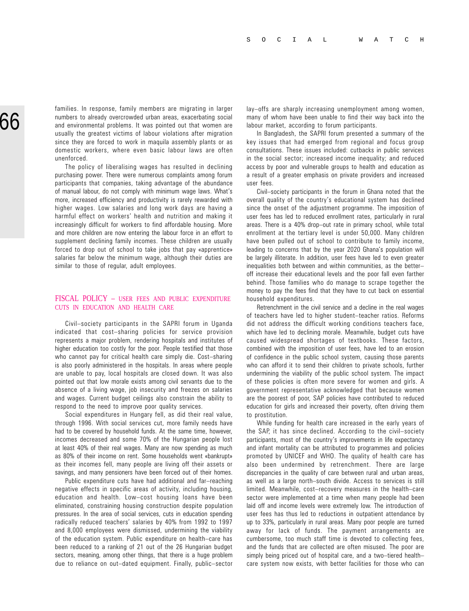families. In response, family members are migrating in larger numbers to already overcrowded urban areas, exacerbating social and environmental problems. It was pointed out that women are usually the greatest victims of labour violations after migration since they are forced to work in maquila assembly plants or as domestic workers, where even basic labour laws are often unenforced.

The policy of liberalising wages has resulted in declining purchasing power. There were numerous complaints among forum participants that companies, taking advantage of the abundance of manual labour, do not comply with minimum wage laws. What's more, increased efficiency and productivity is rarely rewarded with higher wages. Low salaries and long work days are having a harmful effect on workers' health and nutrition and making it increasingly difficult for workers to find affordable housing. More and more children are now entering the labour force in an effort to supplement declining family incomes. These children are usually forced to drop out of school to take jobs that pay «apprentice» salaries far below the minimum wage, although their duties are similar to those of regular, adult employees.

### FISCAL POLICY – USER FEES AND PUBLIC EXPENDITURE CUTS IN EDUCATION AND HEALTH CARE

Civil-society participants in the SAPRI forum in Uganda indicated that cost-sharing policies for service provision represents a major problem, rendering hospitals and institutes of higher education too costly for the poor. People testified that those who cannot pay for critical health care simply die. Cost-sharing is also poorly administered in the hospitals. In areas where people are unable to pay, local hospitals are closed down. It was also pointed out that low morale exists among civil servants due to the absence of a living wage, job insecurity and freezes on salaries and wages. Current budget ceilings also constrain the ability to respond to the need to improve poor quality services.

Social expenditures in Hungary fell, as did their real value, through 1996. With social services cut, more family needs have had to be covered by household funds. At the same time, however, incomes decreased and some 70% of the Hungarian people lost at least 40% of their real wages. Many are now spending as much as 80% of their income on rent. Some households went «bankrupt» as their incomes fell, many people are living off their assets or savings, and many pensioners have been forced out of their homes.

Public expenditure cuts have had additional and far-reaching negative effects in specific areas of activity, including housing, education and health. Low-cost housing loans have been eliminated, constraining housing construction despite population pressures. In the area of social services, cuts in education spending radically reduced teachers' salaries by 40% from 1992 to 1997 and 8,000 employees were dismissed, undermining the viability of the education system. Public expenditure on health-care has been reduced to a ranking of 21 out of the 26 Hungarian budget sectors, meaning, among other things, that there is a huge problem due to reliance on out-dated equipment. Finally, public-sector lay-offs are sharply increasing unemployment among women, many of whom have been unable to find their way back into the labour market, according to forum participants.

In Bangladesh, the SAPRI forum presented a summary of the key issues that had emerged from regional and focus group consultations. These issues included: cutbacks in public services in the social sector; increased income inequality; and reduced access by poor and vulnerable groups to health and education as a result of a greater emphasis on private providers and increased user fees.

Civil-society participants in the forum in Ghana noted that the overall quality of the country's educational system has declined since the onset of the adjustment programme. The imposition of user fees has led to reduced enrollment rates, particularly in rural areas. There is a 40% drop-out rate in primary school, while total enrollment at the tertiary level is under 50,000. Many children have been pulled out of school to contribute to family income, leading to concerns that by the year 2020 Ghana's population will be largely illiterate. In addition, user fees have led to even greater inequalities both between and within communities, as the better off increase their educational levels and the poor fall even farther behind. Those families who do manage to scrape together the money to pay the fees find that they have to cut back on essential household expenditures.

Retrenchment in the civil service and a decline in the real wages of teachers have led to higher student-teacher ratios. Reforms did not address the difficult working conditions teachers face, which have led to declining morale. Meanwhile, budget cuts have caused widespread shortages of textbooks. These factors, combined with the imposition of user fees, have led to an erosion of confidence in the public school system, causing those parents who can afford it to send their children to private schools, further undermining the viability of the public school system. The impact of these policies is often more severe for women and girls. A government representative acknowledged that because women are the poorest of poor, SAP policies have contributed to reduced education for girls and increased their poverty, often driving them to prostitution.

While funding for health care increased in the early years of the SAP, it has since declined. According to the civil-society participants, most of the country's improvements in life expectancy and infant mortality can be attributed to programmes and policies promoted by UNICEF and WHO. The quality of health care has also been undermined by retrenchment. There are large discrepancies in the quality of care between rural and urban areas, as well as a large north-south divide. Access to services is still limited. Meanwhile, cost-recovery measures in the health-care sector were implemented at a time when many people had been laid off and income levels were extremely low. The introduction of user fees has thus led to reductions in outpatient attendance by up to 33%, particularly in rural areas. Many poor people are turned away for lack of funds. The payment arrangements are cumbersome, too much staff time is devoted to collecting fees, and the funds that are collected are often misused. The poor are simply being priced out of hospital care, and a two-tiered healthcare system now exists, with better facilities for those who can